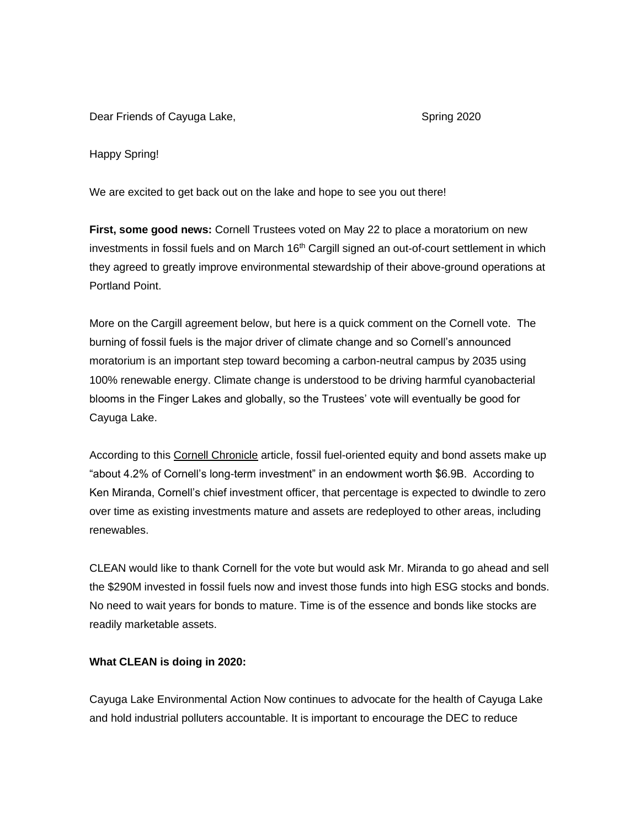Dear Friends of Cayuga Lake, Spring 2020

Happy Spring!

We are excited to get back out on the lake and hope to see you out there!

**First, some good news:** Cornell Trustees voted on May 22 to place a moratorium on new investments in fossil fuels and on March 16<sup>th</sup> Cargill signed an out-of-court settlement in which they agreed to greatly improve environmental stewardship of their above-ground operations at Portland Point.

More on the Cargill agreement below, but here is a quick comment on the Cornell vote. The burning of fossil fuels is the major driver of climate change and so Cornell's announced moratorium is an important step toward becoming a carbon-neutral campus by 2035 using 100% renewable energy. Climate change is understood to be driving harmful cyanobacterial blooms in the Finger Lakes and globally, so the Trustees' vote will eventually be good for Cayuga Lake.

According to this [Cornell Chronicle](https://news.cornell.edu/stories/2020/05/cornell-announces-moratorium-fossil-fuel-investments) article, fossil fuel-oriented equity and bond assets make up "about 4.2% of Cornell's long-term investment" in an endowment worth \$6.9B. According to Ken Miranda, Cornell's chief investment officer, that percentage is expected to dwindle to zero over time as existing investments mature and assets are redeployed to other areas, including renewables.

CLEAN would like to thank Cornell for the vote but would ask Mr. Miranda to go ahead and sell the \$290M invested in fossil fuels now and invest those funds into high ESG stocks and bonds. No need to wait years for bonds to mature. Time is of the essence and bonds like stocks are readily marketable assets.

## **What CLEAN is doing in 2020:**

Cayuga Lake Environmental Action Now continues to advocate for the health of Cayuga Lake and hold industrial polluters accountable. It is important to encourage the DEC to reduce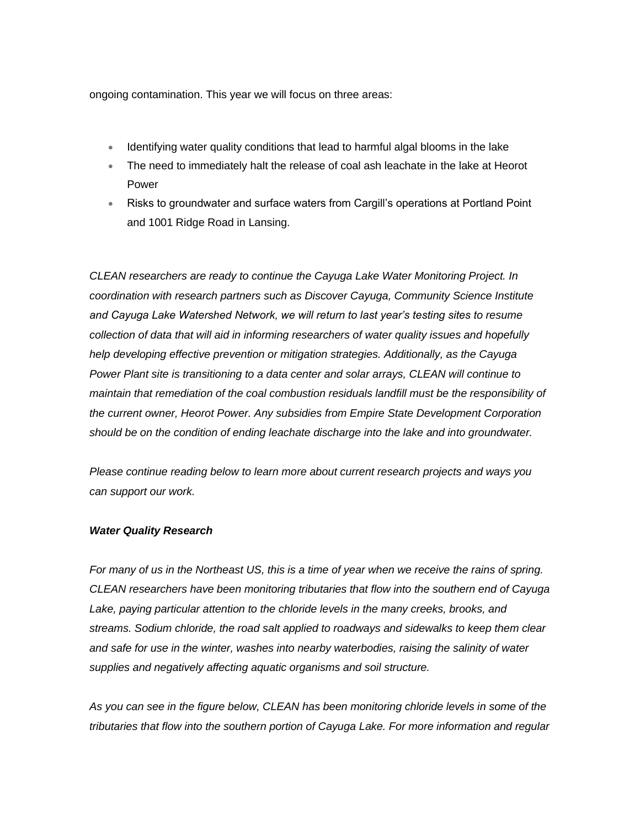ongoing contamination. This year we will focus on three areas:

- Identifying water quality conditions that lead to harmful algal blooms in the lake
- The need to immediately halt the release of coal ash leachate in the lake at Heorot Power
- Risks to groundwater and surface waters from Cargill's operations at Portland Point and 1001 Ridge Road in Lansing.

*CLEAN researchers are ready to continue the Cayuga Lake Water Monitoring Project. In coordination with research partners such as Discover Cayuga, Community Science Institute and Cayuga Lake Watershed Network, we will return to last year's testing sites to resume collection of data that will aid in informing researchers of water quality issues and hopefully help developing effective prevention or mitigation strategies. Additionally, as the Cayuga Power Plant site is transitioning to a data center and solar arrays, CLEAN will continue to maintain that remediation of the coal combustion residuals landfill must be the responsibility of the current owner, Heorot Power. Any subsidies from Empire State Development Corporation should be on the condition of ending leachate discharge into the lake and into groundwater.* 

*Please continue reading below to learn more about current research projects and ways you can support our work.*

### *Water Quality Research*

*For many of us in the Northeast US, this is a time of year when we receive the rains of spring. CLEAN researchers have been monitoring tributaries that flow into the southern end of Cayuga Lake, paying particular attention to the chloride levels in the many creeks, brooks, and streams. Sodium chloride, the road salt applied to roadways and sidewalks to keep them clear and safe for use in the winter, washes into nearby waterbodies, raising the salinity of water supplies and negatively affecting aquatic organisms and soil structure.*

*As you can see in the figure below, CLEAN has been monitoring chloride levels in some of the tributaries that flow into the southern portion of Cayuga Lake. For more information and regular*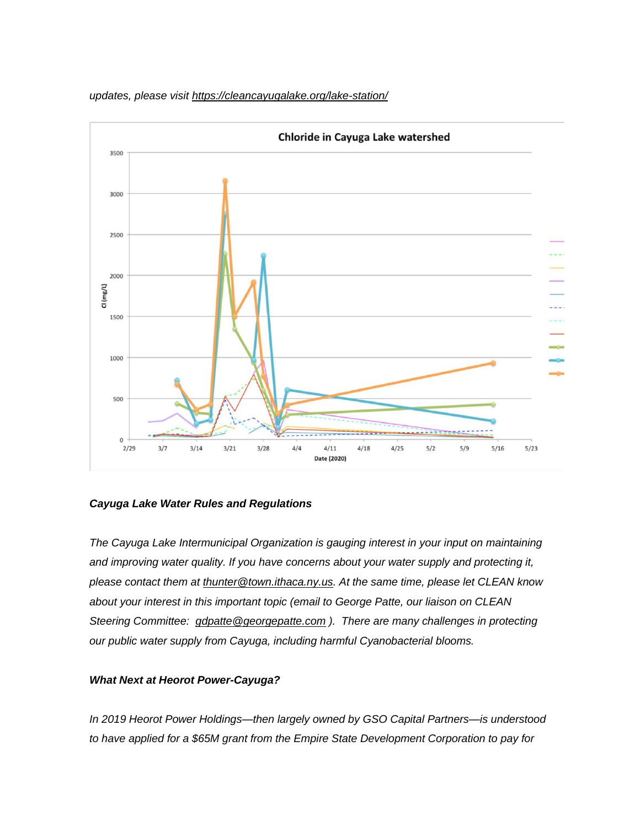

*updates, please visit <https://cleancayugalake.org/lake-station/>*

## *Cayuga Lake Water Rules and Regulations*

*The Cayuga Lake Intermunicipal Organization is gauging interest in your input on maintaining and improving water quality. If you have concerns about your water supply and protecting it, please contact them at [thunter@town.ithaca.ny.us.](mailto:thunter@town.ithaca.ny.us) At the same time, please let CLEAN know about your interest in this important topic (email to George Patte, our liaison on CLEAN Steering Committee: [gdpatte@georgepatte.com](mailto:gdpatte@georgepatte.com) ). There are many challenges in protecting our public water supply from Cayuga, including harmful Cyanobacterial blooms.*

## *What Next at Heorot Power-Cayuga?*

*In 2019 Heorot Power Holdings—then largely owned by GSO Capital Partners—is understood to have applied for a \$65M grant from the Empire State Development Corporation to pay for*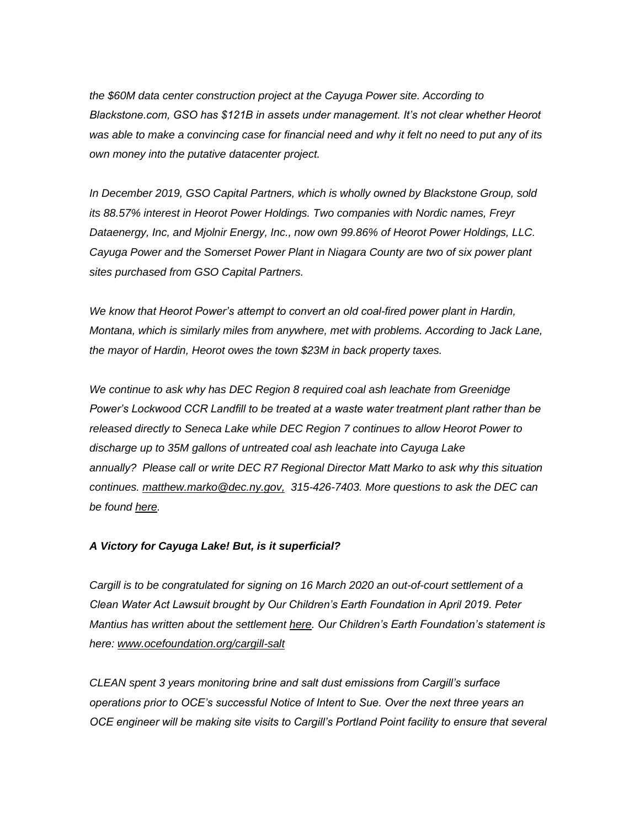*the \$60M data center construction project at the Cayuga Power site. According to Blackstone.com, GSO has \$121B in assets under management. It's not clear whether Heorot was able to make a convincing case for financial need and why it felt no need to put any of its own money into the putative datacenter project.*

*In December 2019, GSO Capital Partners, which is wholly owned by Blackstone Group, sold its 88.57% interest in Heorot Power Holdings. Two companies with Nordic names, Freyr Dataenergy, Inc, and Mjolnir Energy, Inc., now own 99.86% of Heorot Power Holdings, LLC. Cayuga Power and the Somerset Power Plant in Niagara County are two of six power plant sites purchased from GSO Capital Partners.*

*We know that Heorot Power's attempt to convert an old coal-fired power plant in Hardin, Montana, which is similarly miles from anywhere, met with problems. According to Jack Lane, the mayor of Hardin, Heorot owes the town \$23M in back property taxes.* 

*We continue to ask why has DEC Region 8 required coal ash leachate from Greenidge Power's Lockwood CCR Landfill to be treated at a waste water treatment plant rather than be released directly to Seneca Lake while DEC Region 7 continues to allow Heorot Power to discharge up to 35M gallons of untreated coal ash leachate into Cayuga Lake annually? Please call or write DEC R7 Regional Director Matt Marko to ask why this situation continues. [matthew.marko@dec.ny.gov,](mailto:matthew.marko@dec.ny.gov) 315-426-7403. More questions to ask the DEC can be found [here.](https://cleancayugalake.org/coal-ash-landfill/)*

### *A Victory for Cayuga Lake! But, is it superficial?*

*Cargill is to be congratulated for signing on 16 March 2020 an out-of-court settlement of a Clean Water Act Lawsuit brought by Our Children's Earth Foundation in April 2019. Peter Mantius has written about the settlement [here.](https://waterfrontonline.blog/2020/05/21/cargill-agrees-to-pay-318000-curb-salt-dust-and-salt-runoff-into-cayuga-lake-in-proposed-bid-to-settle-a-federal-lawsuit/) Our Children's Earth Foundation's statement is here: [www.ocefoundation.org/cargill-salt](http://www.ocefoundation.org/cargill-salt)*

*CLEAN spent 3 years monitoring brine and salt dust emissions from Cargill's surface operations prior to OCE's successful Notice of Intent to Sue. Over the next three years an OCE engineer will be making site visits to Cargill's Portland Point facility to ensure that several*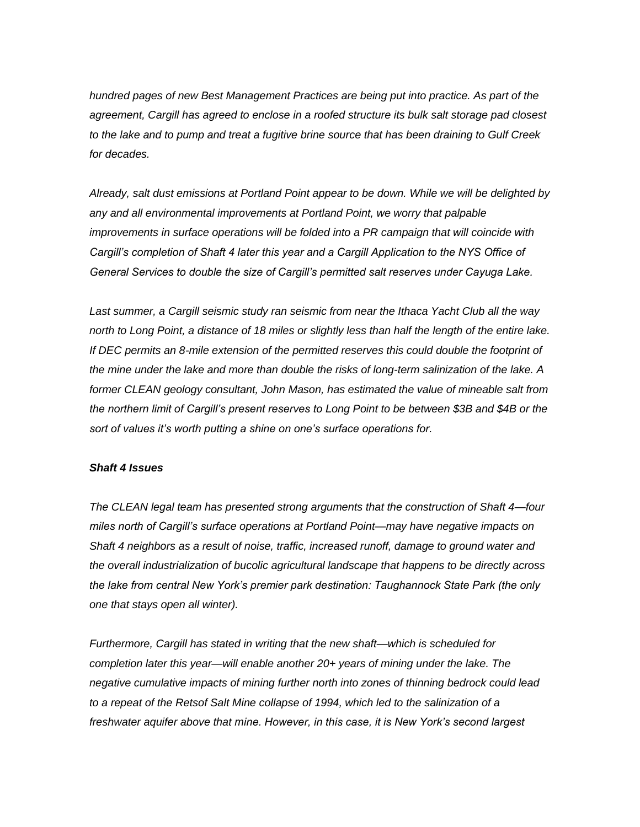*hundred pages of new Best Management Practices are being put into practice. As part of the agreement, Cargill has agreed to enclose in a roofed structure its bulk salt storage pad closest to the lake and to pump and treat a fugitive brine source that has been draining to Gulf Creek for decades.*

*Already, salt dust emissions at Portland Point appear to be down. While we will be delighted by any and all environmental improvements at Portland Point, we worry that palpable improvements in surface operations will be folded into a PR campaign that will coincide with Cargill's completion of Shaft 4 later this year and a Cargill Application to the NYS Office of General Services to double the size of Cargill's permitted salt reserves under Cayuga Lake.*

*Last summer, a Cargill seismic study ran seismic from near the Ithaca Yacht Club all the way north to Long Point, a distance of 18 miles or slightly less than half the length of the entire lake.*  If DEC permits an 8-mile extension of the permitted reserves this could double the footprint of *the mine under the lake and more than double the risks of long-term salinization of the lake. A former CLEAN geology consultant, John Mason, has estimated the value of mineable salt from the northern limit of Cargill's present reserves to Long Point to be between \$3B and \$4B or the sort of values it's worth putting a shine on one's surface operations for.*

### *Shaft 4 Issues*

*The CLEAN legal team has presented strong arguments that the construction of Shaft 4—four miles north of Cargill's surface operations at Portland Point—may have negative impacts on Shaft 4 neighbors as a result of noise, traffic, increased runoff, damage to ground water and the overall industrialization of bucolic agricultural landscape that happens to be directly across the lake from central New York's premier park destination: Taughannock State Park (the only one that stays open all winter).*

*Furthermore, Cargill has stated in writing that the new shaft—which is scheduled for completion later this year—will enable another 20+ years of mining under the lake. The negative cumulative impacts of mining further north into zones of thinning bedrock could lead to a repeat of the Retsof Salt Mine collapse of 1994, which led to the salinization of a freshwater aquifer above that mine. However, in this case, it is New York's second largest*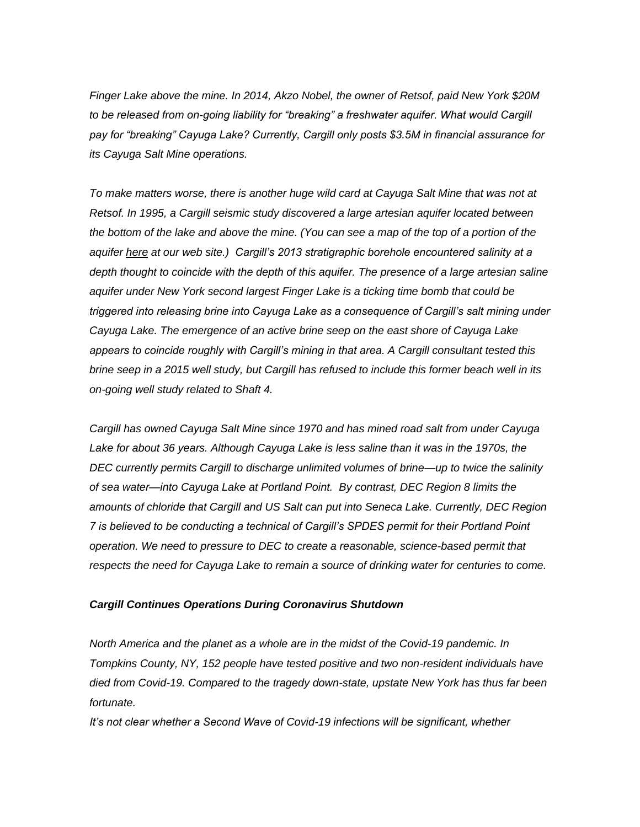*Finger Lake above the mine. In 2014, Akzo Nobel, the owner of Retsof, paid New York \$20M*  to be released from on-going liability for "breaking" a freshwater aquifer. What would Cargill *pay for "breaking" Cayuga Lake? Currently, Cargill only posts \$3.5M in financial assurance for its Cayuga Salt Mine operations.*

*To make matters worse, there is another huge wild card at Cayuga Salt Mine that was not at Retsof. In 1995, a Cargill seismic study discovered a large artesian aquifer located between the bottom of the lake and above the mine. (You can see a map of the top of a portion of the aquifer [here](https://cleancayugalake.org/cargill-salt/) at our web site.) Cargill's 2013 stratigraphic borehole encountered salinity at a depth thought to coincide with the depth of this aquifer. The presence of a large artesian saline aquifer under New York second largest Finger Lake is a ticking time bomb that could be triggered into releasing brine into Cayuga Lake as a consequence of Cargill's salt mining under Cayuga Lake. The emergence of an active brine seep on the east shore of Cayuga Lake appears to coincide roughly with Cargill's mining in that area. A Cargill consultant tested this brine seep in a 2015 well study, but Cargill has refused to include this former beach well in its on-going well study related to Shaft 4.*

*Cargill has owned Cayuga Salt Mine since 1970 and has mined road salt from under Cayuga*  Lake for about 36 years. Although Cayuga Lake is less saline than it was in the 1970s, the *DEC currently permits Cargill to discharge unlimited volumes of brine—up to twice the salinity of sea water—into Cayuga Lake at Portland Point. By contrast, DEC Region 8 limits the amounts of chloride that Cargill and US Salt can put into Seneca Lake. Currently, DEC Region 7 is believed to be conducting a technical of Cargill's SPDES permit for their Portland Point operation. We need to pressure to DEC to create a reasonable, science-based permit that respects the need for Cayuga Lake to remain a source of drinking water for centuries to come.*

### *Cargill Continues Operations During Coronavirus Shutdown*

*North America and the planet as a whole are in the midst of the Covid-19 pandemic. In Tompkins County, NY, 152 people have tested positive and two non-resident individuals have died from Covid-19. Compared to the tragedy down-state, upstate New York has thus far been fortunate.*

*It's not clear whether a Second Wave of Covid-19 infections will be significant, whether*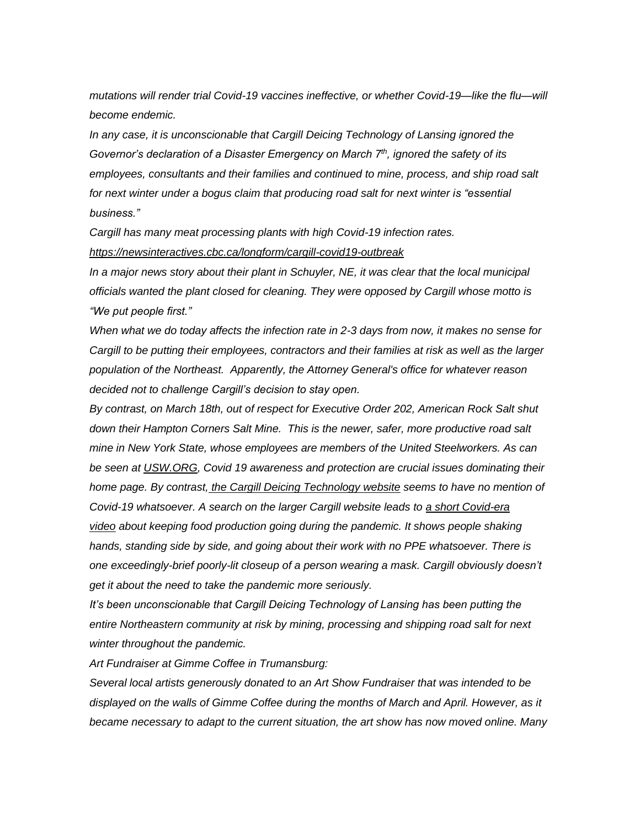*mutations will render trial Covid-19 vaccines ineffective, or whether Covid-19—like the flu—will become endemic.*

*In any case, it is unconscionable that Cargill Deicing Technology of Lansing ignored the Governor's declaration of a Disaster Emergency on March 7th, ignored the safety of its employees, consultants and their families and continued to mine, process, and ship road salt*  for next winter under a bogus claim that producing road salt for next winter is "essential *business."*

*Cargill has many meat processing plants with high Covid-19 infection rates. <https://newsinteractives.cbc.ca/longform/cargill-covid19-outbreak>*

*In a major news story about their plant in Schuyler, NE, it was clear that the local municipal officials wanted the plant closed for cleaning. They were opposed by Cargill whose motto is "We put people first."*

*When what we do today affects the infection rate in 2-3 days from now, it makes no sense for Cargill to be putting their employees, contractors and their families at risk as well as the larger population of the Northeast. Apparently, the Attorney General's office for whatever reason decided not to challenge Cargill's decision to stay open.*

*By contrast, on March 18th, out of respect for Executive Order 202, American Rock Salt shut down their Hampton Corners Salt Mine. This is the newer, safer, more productive road salt mine in New York State, whose employees are members of the United Steelworkers. As can be seen at [USW.ORG,](http://usw.org/) Covid 19 awareness and protection are crucial issues dominating their home page. By contrast, [the Cargill Deicing Technology website](https://www.cargill.com/industrial/winter-road-maintenance/cayuga-salt-mine) seems to have no mention of Covid-19 whatsoever. A search on the larger Cargill website leads to [a short Covid-era](https://www.cargill.com/feedingintelligence/covid19)  [video](https://www.cargill.com/feedingintelligence/covid19) about keeping food production going during the pandemic. It shows people shaking hands, standing side by side, and going about their work with no PPE whatsoever. There is one exceedingly-brief poorly-lit closeup of a person wearing a mask. Cargill obviously doesn't get it about the need to take the pandemic more seriously.*

*It's been unconscionable that Cargill Deicing Technology of Lansing has been putting the entire Northeastern community at risk by mining, processing and shipping road salt for next winter throughout the pandemic.*

*Art Fundraiser at Gimme Coffee in Trumansburg:*

*Several local artists generously donated to an Art Show Fundraiser that was intended to be displayed on the walls of Gimme Coffee during the months of March and April. However, as it became necessary to adapt to the current situation, the art show has now moved online. Many*